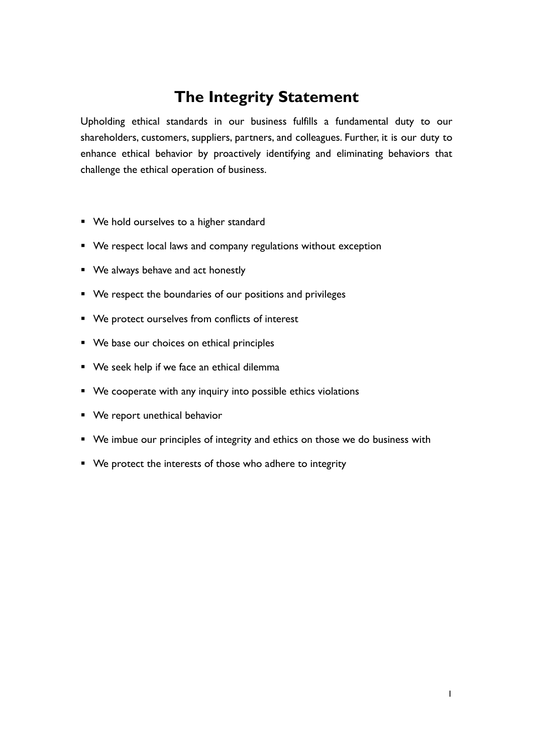# **The Integrity Statement**

Upholding ethical standards in our business fulfills a fundamental duty to our shareholders, customers, suppliers, partners, and colleagues. Further, it is our duty to enhance ethical behavior by proactively identifying and eliminating behaviors that challenge the ethical operation of business.

- We hold ourselves to a higher standard
- We respect local laws and company regulations without exception
- We always behave and act honestly
- We respect the boundaries of our positions and privileges
- We protect ourselves from conflicts of interest
- We base our choices on ethical principles
- We seek help if we face an ethical dilemma
- We cooperate with any inquiry into possible ethics violations
- We report unethical behavior
- We imbue our principles of integrity and ethics on those we do business with
- We protect the interests of those who adhere to integrity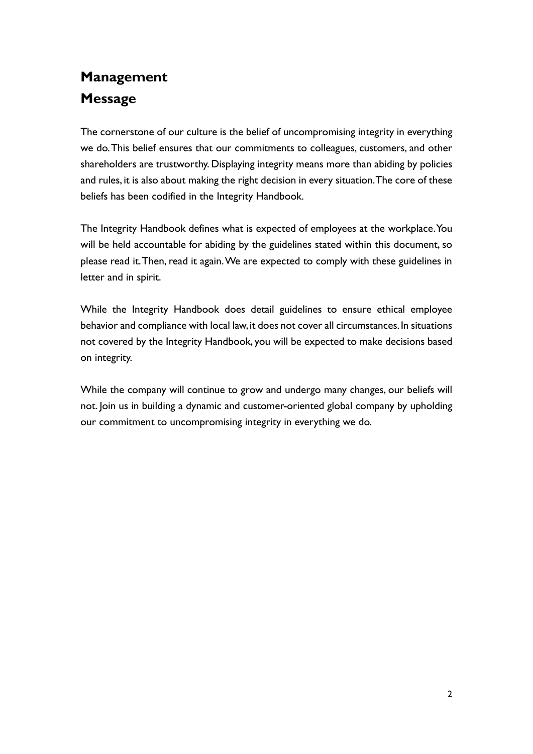# **Management Message**

The cornerstone of our culture is the belief of uncompromising integrity in everything we do. This belief ensures that our commitments to colleagues, customers, and other shareholders are trustworthy. Displaying integrity means more than abiding by policies and rules, it is also about making the right decision in every situation. The core of these beliefs has been codified in the Integrity Handbook.

The Integrity Handbook defines what is expected of employees at the workplace. You will be held accountable for abiding by the guidelines stated within this document, so please read it. Then, read it again. We are expected to comply with these guidelines in letter and in spirit.

While the Integrity Handbook does detail guidelines to ensure ethical employee behavior and compliance with local law, it does not cover all circumstances. In situations not covered by the Integrity Handbook, you will be expected to make decisions based on integrity.

While the company will continue to grow and undergo many changes, our beliefs will not. Join us in building a dynamic and customer-oriented global company by upholding our commitment to uncompromising integrity in everything we do.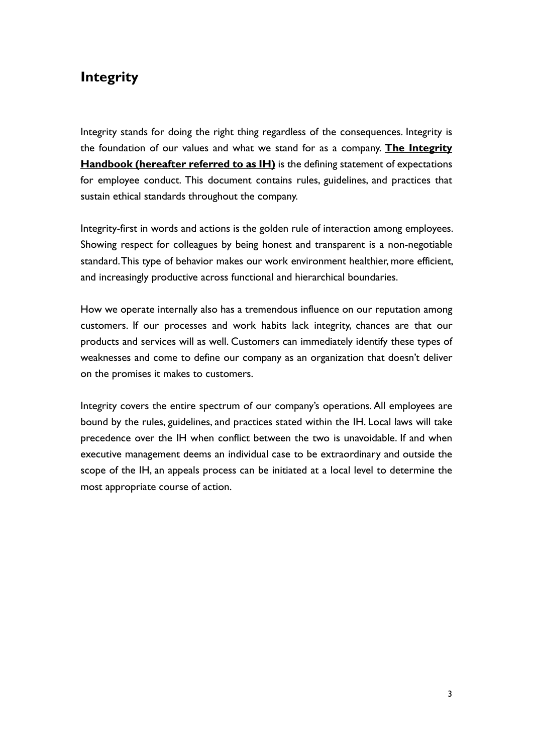## **Integrity**

Integrity stands for doing the right thing regardless of the consequences. Integrity is the foundation of our values and what we stand for as a company. **The Integrity Handbook (hereafter referred to as IH)** is the defining statement of expectations for employee conduct. This document contains rules, guidelines, and practices that sustain ethical standards throughout the company.

Integrity-first in words and actions is the golden rule of interaction among employees. Showing respect for colleagues by being honest and transparent is a non-negotiable standard. This type of behavior makes our work environment healthier, more efficient, and increasingly productive across functional and hierarchical boundaries.

How we operate internally also has a tremendous influence on our reputation among customers. If our processes and work habits lack integrity, chances are that our products and services will as well. Customers can immediately identify these types of weaknesses and come to define our company as an organization that doesn't deliver on the promises it makes to customers.

Integrity covers the entire spectrum of our company's operations. All employees are bound by the rules, guidelines, and practices stated within the IH. Local laws will take precedence over the IH when conflict between the two is unavoidable. If and when executive management deems an individual case to be extraordinary and outside the scope of the IH, an appeals process can be initiated at a local level to determine the most appropriate course of action.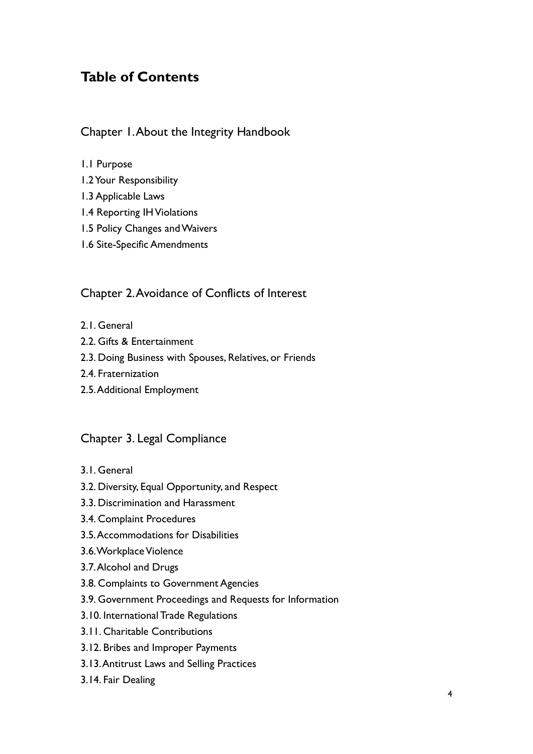## **Table of Contents**

### Chapter 1.About the Integrity Handbook

### 1.1 Purpose

- 1.2 Your Responsibility
- 1.3 Applicable Laws
- 1.4 Reporting IH Violations
- 1.5 Policy Changes and Waivers
- 1.6 Site-Specific Amendments

### Chapter 2.Avoidance of Conflicts of Interest

- 2.1. General
- 2.2. Gifts & Entertainment
- 2.3. Doing Business with Spouses, Relatives, or Friends
- 2.4. Fraternization
- 2.5. Additional Employment

### Chapter 3. Legal Compliance

- 3.1. General
- 3.2. Diversity, Equal Opportunity, and Respect
- 3.3. Discrimination and Harassment
- 3.4. Complaint Procedures
- 3.5. Accommodations for Disabilities
- 3.6. Workplace Violence
- 3.7. Alcohol and Drugs
- 3.8. Complaints to Government Agencies
- 3.9. Government Proceedings and Requests for Information
- 3.10. International Trade Regulations
- 3.11. Charitable Contributions
- 3.12. Bribes and Improper Payments
- 3.13. Antitrust Laws and Selling Practices
- 3.14. Fair Dealing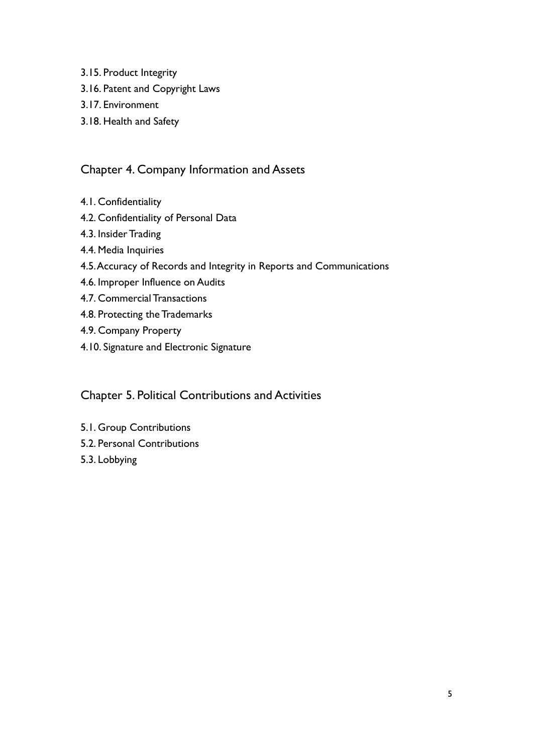- 3.15. Product Integrity
- 3.16. Patent and Copyright Laws
- 3.17. Environment
- 3.18. Health and Safety

### Chapter 4. Company Information and Assets

- 4.1. Confidentiality
- 4.2. Confidentiality of Personal Data
- 4.3. Insider Trading
- 4.4. Media Inquiries
- 4.5. Accuracy of Records and Integrity in Reports and Communications
- 4.6. Improper Influence on Audits
- 4.7. Commercial Transactions
- 4.8. Protecting the Trademarks
- 4.9. Company Property
- 4.10. Signature and Electronic Signature

### Chapter 5. Political Contributions and Activities

- 5.1. Group Contributions
- 5.2. Personal Contributions
- 5.3. Lobbying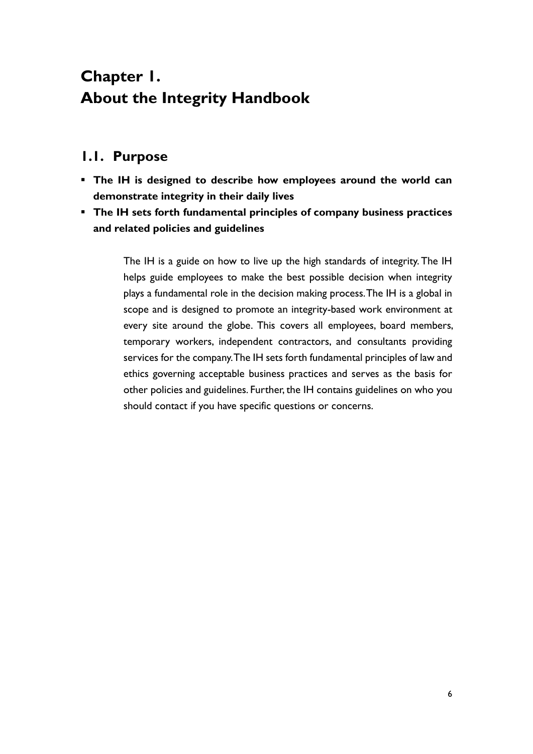# **Chapter 1. About the Integrity Handbook**

## **1.1. Purpose**

- **The IH is designed to describe how employees around the world can demonstrate integrity in their daily lives**
- **The IH sets forth fundamental principles of company business practices and related policies and guidelines**

The IH is a guide on how to live up the high standards of integrity. The IH helps guide employees to make the best possible decision when integrity plays a fundamental role in the decision making process. The IH is a global in scope and is designed to promote an integrity-based work environment at every site around the globe. This covers all employees, board members, temporary workers, independent contractors, and consultants providing services for the company. The IH sets forth fundamental principles of law and ethics governing acceptable business practices and serves as the basis for other policies and guidelines. Further, the IH contains guidelines on who you should contact if you have specific questions or concerns.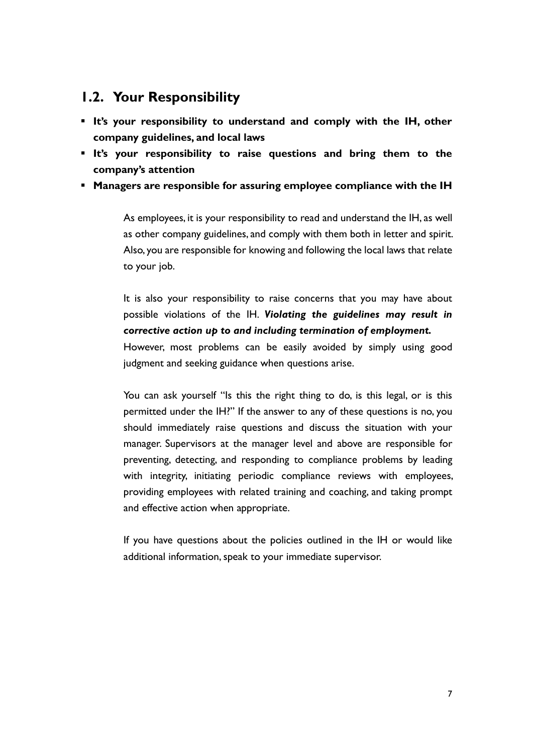### **1.2. Your Responsibility**

- **It's your responsibility to understand and comply with the IH, other company guidelines, and local laws**
- **It's your responsibility to raise questions and bring them to the company's attention**
- **Managers are responsible for assuring employee compliance with the IH**

As employees, it is your responsibility to read and understand the IH, as well as other company guidelines, and comply with them both in letter and spirit. Also, you are responsible for knowing and following the local laws that relate to your job.

It is also your responsibility to raise concerns that you may have about possible violations of the IH. *Violating the guidelines may result in corrective action up to and including termination of employment.*

However, most problems can be easily avoided by simply using good judgment and seeking guidance when questions arise.

You can ask yourself "Is this the right thing to do, is this legal, or is this permitted under the IH?" If the answer to any of these questions is no, you should immediately raise questions and discuss the situation with your manager. Supervisors at the manager level and above are responsible for preventing, detecting, and responding to compliance problems by leading with integrity, initiating periodic compliance reviews with employees, providing employees with related training and coaching, and taking prompt and effective action when appropriate.

If you have questions about the policies outlined in the IH or would like additional information, speak to your immediate supervisor.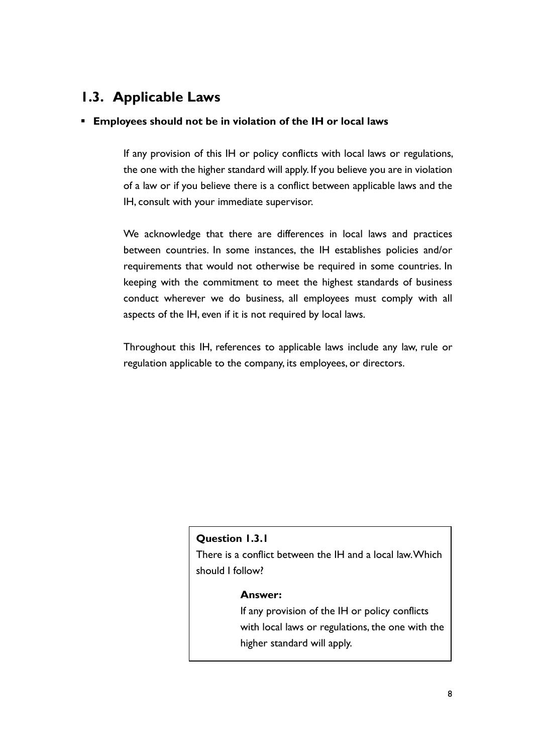## **1.3. Applicable Laws**

### ▪ **Employees should not be in violation of the IH or local laws**

If any provision of this IH or policy conflicts with local laws or regulations, the one with the higher standard will apply. If you believe you are in violation of a law or if you believe there is a conflict between applicable laws and the IH, consult with your immediate supervisor.

We acknowledge that there are differences in local laws and practices between countries. In some instances, the IH establishes policies and/or requirements that would not otherwise be required in some countries. In keeping with the commitment to meet the highest standards of business conduct wherever we do business, all employees must comply with all aspects of the IH, even if it is not required by local laws.

Throughout this IH, references to applicable laws include any law, rule or regulation applicable to the company, its employees, or directors.

### **Question 1.3.1**

There is a conflict between the IH and a local law. Which should I follow?

#### **Answer:**

If any provision of the IH or policy conflicts with local laws or regulations, the one with the higher standard will apply.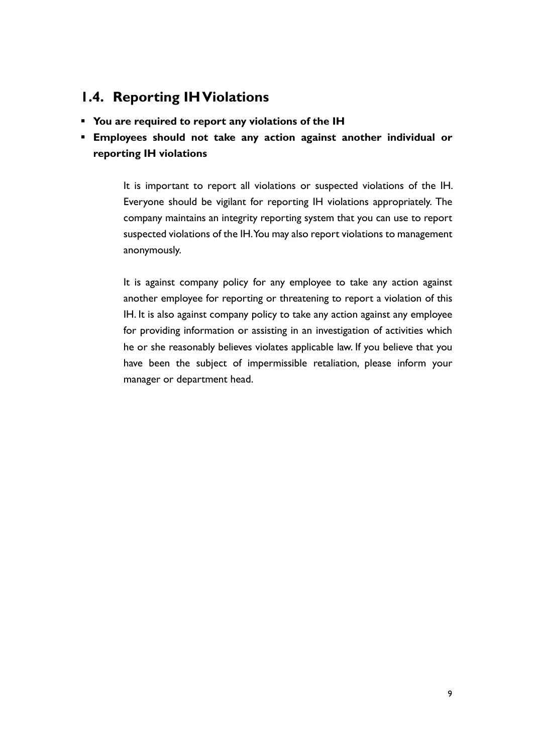## **1.4. Reporting IH Violations**

- **You are required to report any violations of the IH**
- **Employees should not take any action against another individual or reporting IH violations**

It is important to report all violations or suspected violations of the IH. Everyone should be vigilant for reporting IH violations appropriately. The company maintains an integrity reporting system that you can use to report suspected violations of the IH. You may also report violations to management anonymously.

It is against company policy for any employee to take any action against another employee for reporting or threatening to report a violation of this IH. It is also against company policy to take any action against any employee for providing information or assisting in an investigation of activities which he or she reasonably believes violates applicable law. If you believe that you have been the subject of impermissible retaliation, please inform your manager or department head.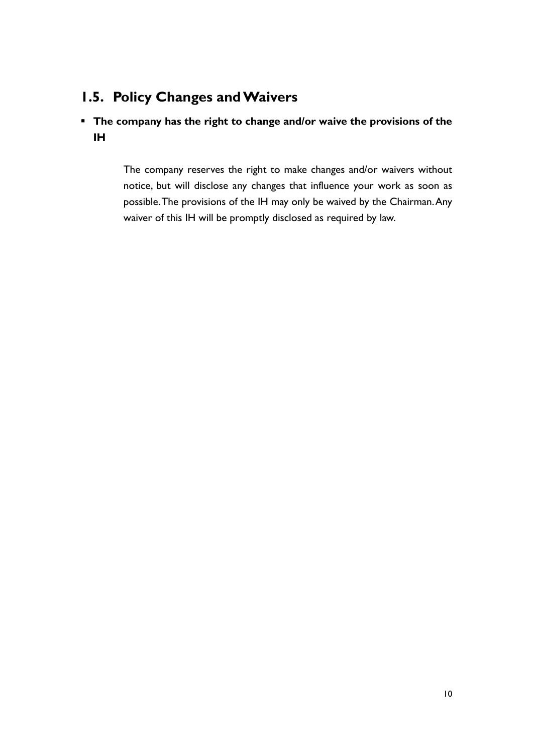## **1.5. Policy Changes and Waivers**

### ▪ **The company has the right to change and/or waive the provisions of the IH**

The company reserves the right to make changes and/or waivers without notice, but will disclose any changes that influence your work as soon as possible. The provisions of the IH may only be waived by the Chairman. Any waiver of this IH will be promptly disclosed as required by law.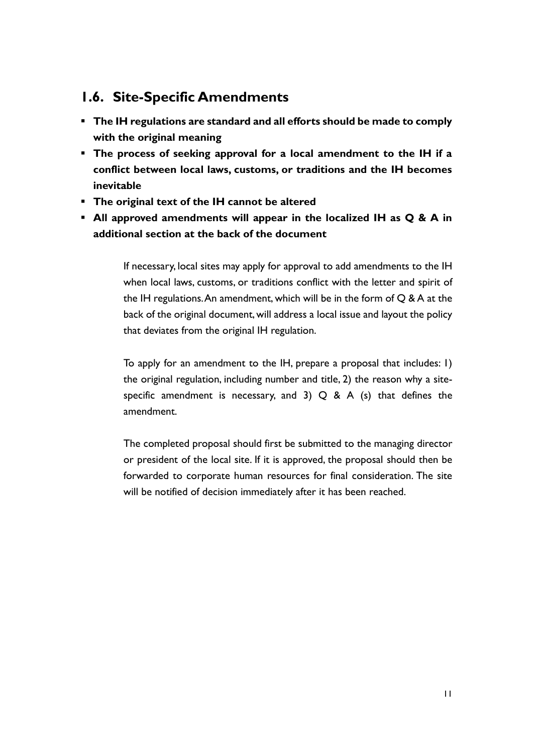### **1.6. Site-Specific Amendments**

- **The IH regulations are standard and all efforts should be made to comply with the original meaning**
- **The process of seeking approval for a local amendment to the IH if a conflict between local laws, customs, or traditions and the IH becomes inevitable**
- **The original text of the IH cannot be altered**
- **All approved amendments will appear in the localized IH as Q & A in additional section at the back of the document**

If necessary, local sites may apply for approval to add amendments to the IH when local laws, customs, or traditions conflict with the letter and spirit of the IH regulations. An amendment, which will be in the form of  $Q$  & A at the back of the original document, will address a local issue and layout the policy that deviates from the original IH regulation.

To apply for an amendment to the IH, prepare a proposal that includes: 1) the original regulation, including number and title, 2) the reason why a sitespecific amendment is necessary, and 3)  $Q$  & A (s) that defines the amendment.

The completed proposal should first be submitted to the managing director or president of the local site. If it is approved, the proposal should then be forwarded to corporate human resources for final consideration. The site will be notified of decision immediately after it has been reached.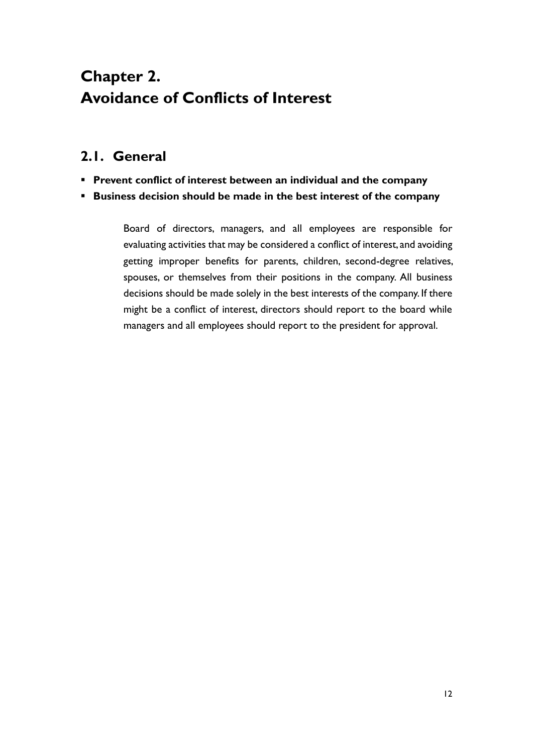# **Chapter 2. Avoidance of Conflicts of Interest**

## **2.1. General**

- **Prevent conflict of interest between an individual and the company**
- **Business decision should be made in the best interest of the company**

Board of directors, managers, and all employees are responsible for evaluating activities that may be considered a conflict of interest, and avoiding getting improper benefits for parents, children, second-degree relatives, spouses, or themselves from their positions in the company. All business decisions should be made solely in the best interests of the company. If there might be a conflict of interest, directors should report to the board while managers and all employees should report to the president for approval.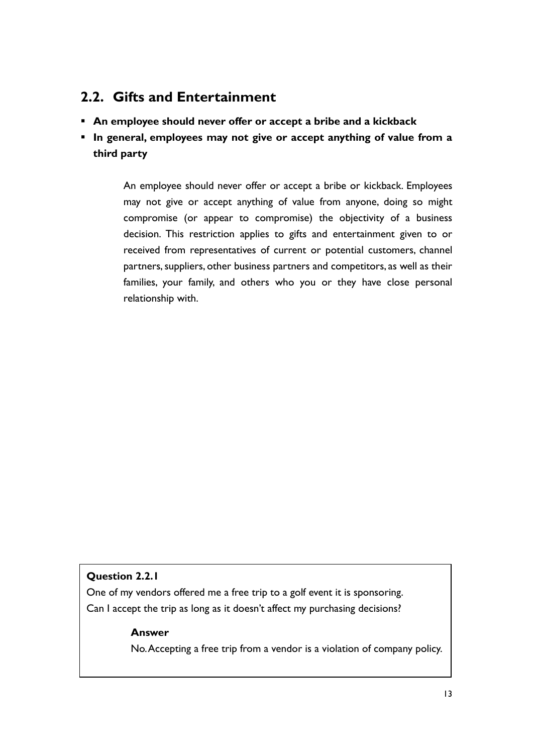### **2.2. Gifts and Entertainment**

- **An employee should never offer or accept a bribe and a kickback**
- **In general, employees may not give or accept anything of value from a third party**

An employee should never offer or accept a bribe or kickback. Employees may not give or accept anything of value from anyone, doing so might compromise (or appear to compromise) the objectivity of a business decision. This restriction applies to gifts and entertainment given to or received from representatives of current or potential customers, channel partners, suppliers, other business partners and competitors, as well as their families, your family, and others who you or they have close personal relationship with.

### **Question 2.2.1**

One of my vendors offered me a free trip to a golf event it is sponsoring. Can I accept the trip as long as it doesn't affect my purchasing decisions?

### **Answer**

No. Accepting a free trip from a vendor is a violation of company policy.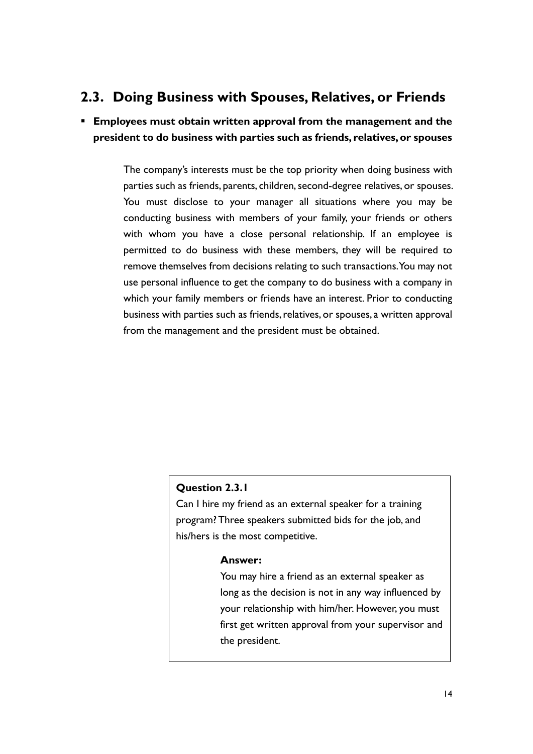## **2.3. Doing Business with Spouses, Relatives, or Friends**

▪ **Employees must obtain written approval from the management and the president to do business with parties such as friends, relatives, or spouses**

> The company's interests must be the top priority when doing business with parties such as friends, parents, children, second-degree relatives, or spouses. You must disclose to your manager all situations where you may be conducting business with members of your family, your friends or others with whom you have a close personal relationship. If an employee is permitted to do business with these members, they will be required to remove themselves from decisions relating to such transactions. You may not use personal influence to get the company to do business with a company in which your family members or friends have an interest. Prior to conducting business with parties such as friends, relatives, or spouses, a written approval from the management and the president must be obtained.

### **Question 2.3.1**

Can I hire my friend as an external speaker for a training program? Three speakers submitted bids for the job, and his/hers is the most competitive.

#### **Answer:**

You may hire a friend as an external speaker as long as the decision is not in any way influenced by your relationship with him/her. However, you must first get written approval from your supervisor and the president.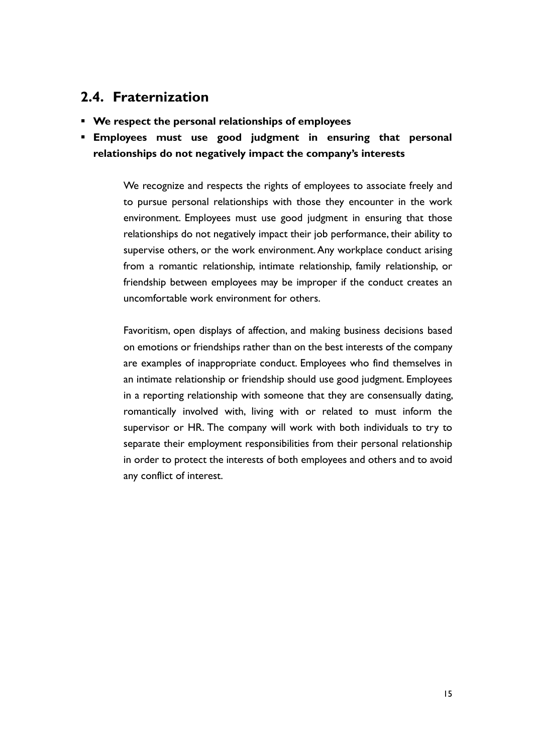### **2.4. Fraternization**

- **We respect the personal relationships of employees**
- **Employees must use good judgment in ensuring that personal relationships do not negatively impact the company's interests**

We recognize and respects the rights of employees to associate freely and to pursue personal relationships with those they encounter in the work environment. Employees must use good judgment in ensuring that those relationships do not negatively impact their job performance, their ability to supervise others, or the work environment. Any workplace conduct arising from a romantic relationship, intimate relationship, family relationship, or friendship between employees may be improper if the conduct creates an uncomfortable work environment for others.

Favoritism, open displays of affection, and making business decisions based on emotions or friendships rather than on the best interests of the company are examples of inappropriate conduct. Employees who find themselves in an intimate relationship or friendship should use good judgment. Employees in a reporting relationship with someone that they are consensually dating, romantically involved with, living with or related to must inform the supervisor or HR. The company will work with both individuals to try to separate their employment responsibilities from their personal relationship in order to protect the interests of both employees and others and to avoid any conflict of interest.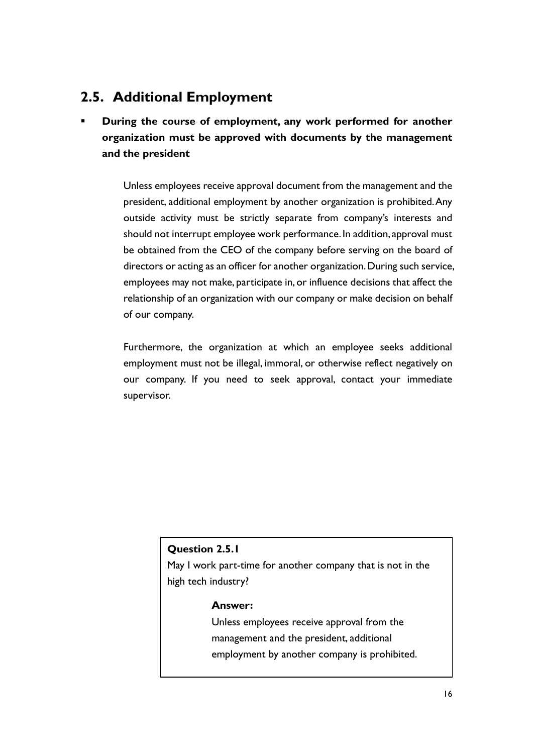## **2.5. Additional Employment**

During the course of employment, any work performed for another **organization must be approved with documents by the management and the president**

> Unless employees receive approval document from the management and the president, additional employment by another organization is prohibited. Any outside activity must be strictly separate from company's interests and should not interrupt employee work performance. In addition, approval must be obtained from the CEO of the company before serving on the board of directors or acting as an officer for another organization. During such service, employees may not make, participate in, or influence decisions that affect the relationship of an organization with our company or make decision on behalf of our company.

> Furthermore, the organization at which an employee seeks additional employment must not be illegal, immoral, or otherwise reflect negatively on our company. If you need to seek approval, contact your immediate supervisor.

### **Question 2.5.1**

May I work part-time for another company that is not in the high tech industry?

### **Answer:**

Unless employees receive approval from the management and the president, additional employment by another company is prohibited.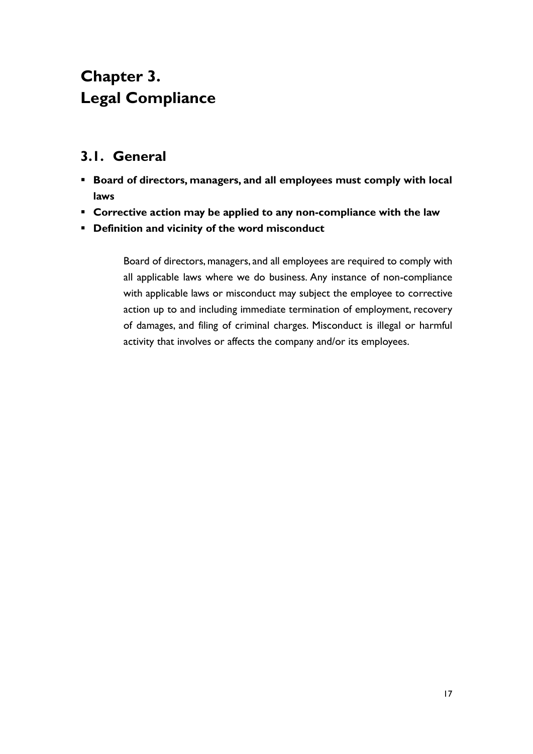# **Chapter 3. Legal Compliance**

## **3.1. General**

- **Board of directors, managers, and all employees must comply with local laws**
- **Corrective action may be applied to any non-compliance with the law**
- **Definition and vicinity of the word misconduct**

Board of directors, managers, and all employees are required to comply with all applicable laws where we do business. Any instance of non-compliance with applicable laws or misconduct may subject the employee to corrective action up to and including immediate termination of employment, recovery of damages, and filing of criminal charges. Misconduct is illegal or harmful activity that involves or affects the company and/or its employees.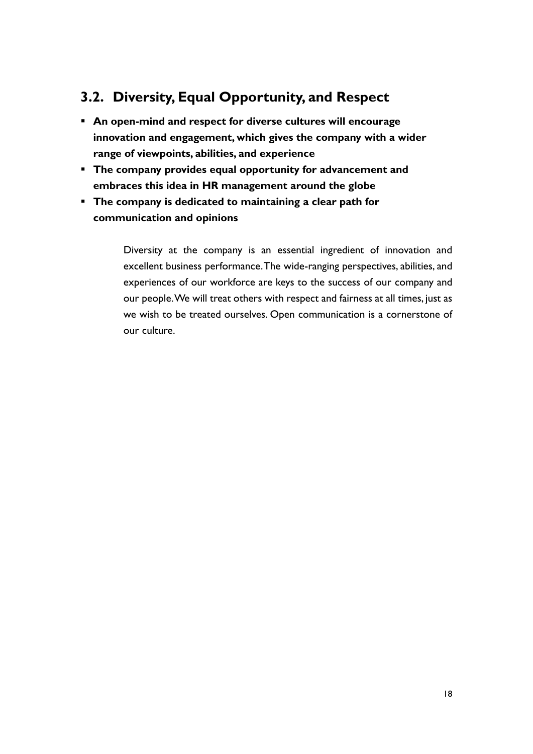## **3.2. Diversity, Equal Opportunity, and Respect**

- **An open-mind and respect for diverse cultures will encourage innovation and engagement, which gives the company with a wider range of viewpoints, abilities, and experience**
- **The company provides equal opportunity for advancement and embraces this idea in HR management around the globe**
- **The company is dedicated to maintaining a clear path for communication and opinions**

Diversity at the company is an essential ingredient of innovation and excellent business performance. The wide-ranging perspectives, abilities, and experiences of our workforce are keys to the success of our company and our people. We will treat others with respect and fairness at all times, just as we wish to be treated ourselves. Open communication is a cornerstone of our culture.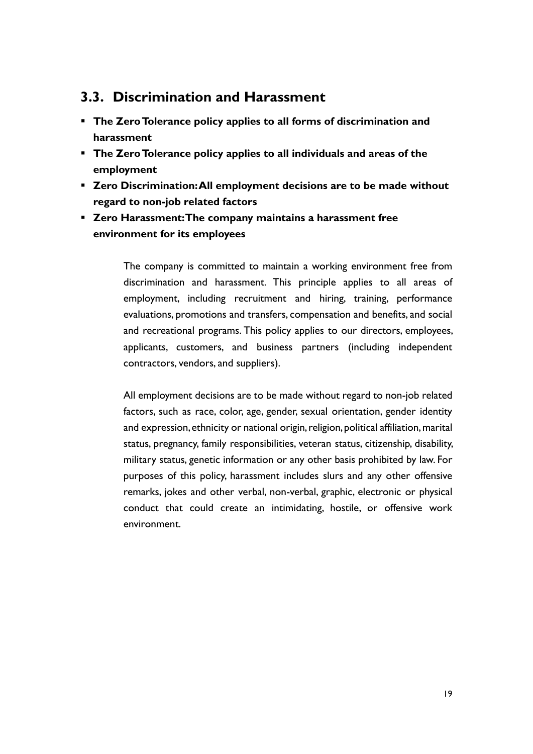### **3.3. Discrimination and Harassment**

- **The Zero Tolerance policy applies to all forms of discrimination and harassment**
- **The Zero Tolerance policy applies to all individuals and areas of the employment**
- **Zero Discrimination: All employment decisions are to be made without regard to non-job related factors**
- **Zero Harassment: The company maintains a harassment free environment for its employees**

The company is committed to maintain a working environment free from discrimination and harassment. This principle applies to all areas of employment, including recruitment and hiring, training, performance evaluations, promotions and transfers, compensation and benefits, and social and recreational programs. This policy applies to our directors, employees, applicants, customers, and business partners (including independent contractors, vendors, and suppliers).

All employment decisions are to be made without regard to non-job related factors, such as race, color, age, gender, sexual orientation, gender identity and expression, ethnicity or national origin, religion, political affiliation, marital status, pregnancy, family responsibilities, veteran status, citizenship, disability, military status, genetic information or any other basis prohibited by law. For purposes of this policy, harassment includes slurs and any other offensive remarks, jokes and other verbal, non-verbal, graphic, electronic or physical conduct that could create an intimidating, hostile, or offensive work environment.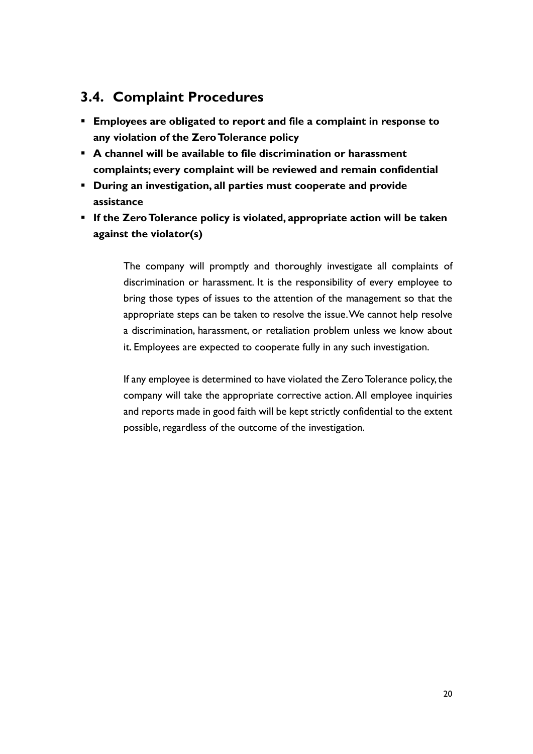## **3.4. Complaint Procedures**

- **Employees are obligated to report and file a complaint in response to any violation of the Zero Tolerance policy**
- **A channel will be available to file discrimination or harassment complaints; every complaint will be reviewed and remain confidential**
- **During an investigation, all parties must cooperate and provide assistance**
- **If the Zero Tolerance policy is violated, appropriate action will be taken against the violator(s)**

The company will promptly and thoroughly investigate all complaints of discrimination or harassment. It is the responsibility of every employee to bring those types of issues to the attention of the management so that the appropriate steps can be taken to resolve the issue. We cannot help resolve a discrimination, harassment, or retaliation problem unless we know about it. Employees are expected to cooperate fully in any such investigation.

If any employee is determined to have violated the Zero Tolerance policy, the company will take the appropriate corrective action. All employee inquiries and reports made in good faith will be kept strictly confidential to the extent possible, regardless of the outcome of the investigation.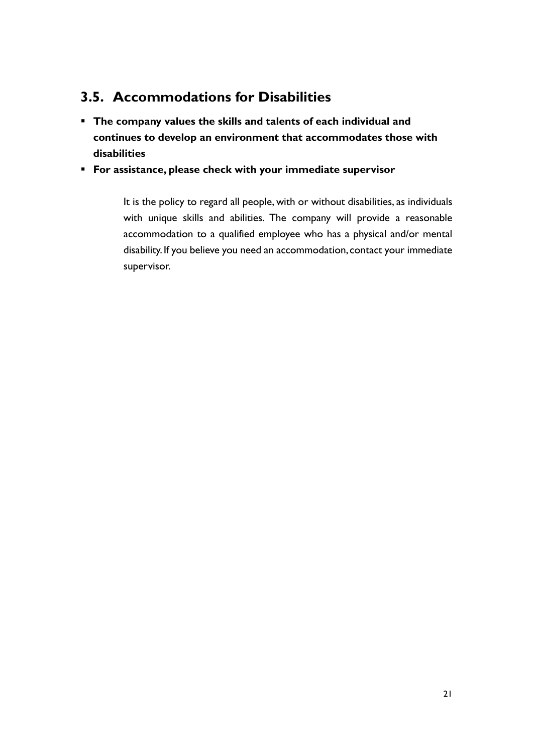## **3.5. Accommodations for Disabilities**

- **The company values the skills and talents of each individual and continues to develop an environment that accommodates those with disabilities**
- **For assistance, please check with your immediate supervisor**

It is the policy to regard all people, with or without disabilities, as individuals with unique skills and abilities. The company will provide a reasonable accommodation to a qualified employee who has a physical and/or mental disability. If you believe you need an accommodation, contact your immediate supervisor.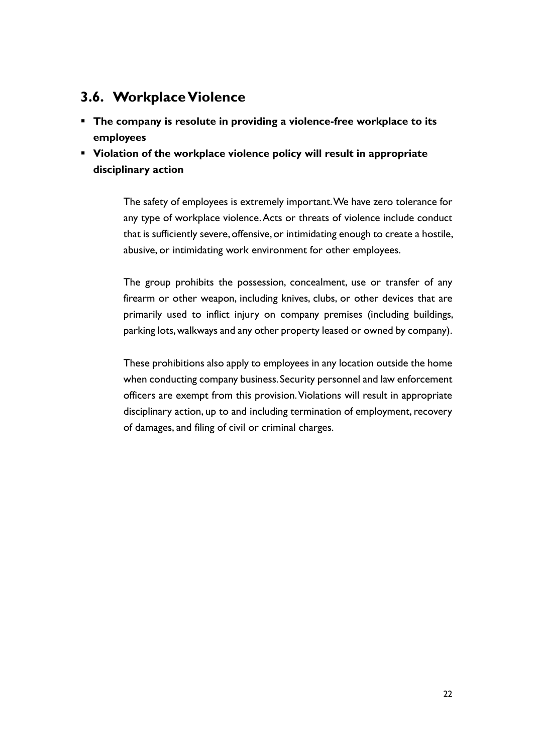## **3.6. Workplace Violence**

- **The company is resolute in providing a violence-free workplace to its employees**
- **Violation of the workplace violence policy will result in appropriate disciplinary action**

The safety of employees is extremely important. We have zero tolerance for any type of workplace violence. Acts or threats of violence include conduct that is sufficiently severe, offensive, or intimidating enough to create a hostile, abusive, or intimidating work environment for other employees.

The group prohibits the possession, concealment, use or transfer of any firearm or other weapon, including knives, clubs, or other devices that are primarily used to inflict injury on company premises (including buildings, parking lots, walkways and any other property leased or owned by company).

These prohibitions also apply to employees in any location outside the home when conducting company business. Security personnel and law enforcement officers are exempt from this provision. Violations will result in appropriate disciplinary action, up to and including termination of employment, recovery of damages, and filing of civil or criminal charges.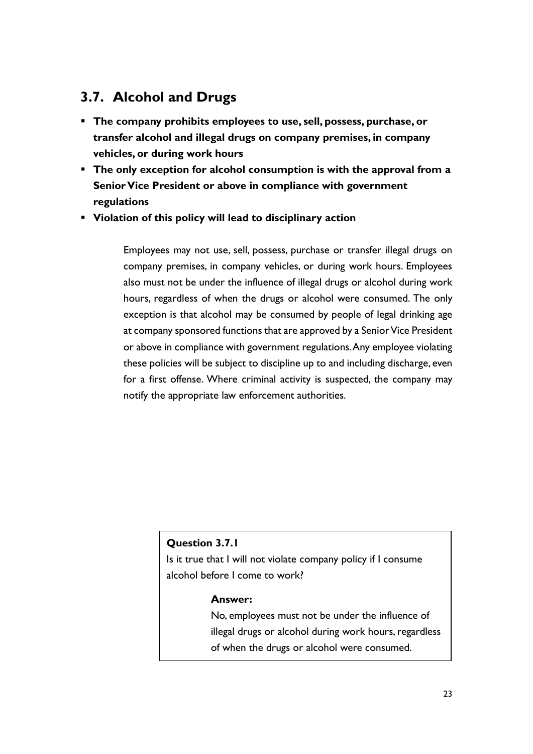## **3.7. Alcohol and Drugs**

- **The company prohibits employees to use, sell, possess, purchase, or transfer alcohol and illegal drugs on company premises, in company vehicles, or during work hours**
- **The only exception for alcohol consumption is with the approval from a Senior Vice President or above in compliance with government regulations**
- **Violation of this policy will lead to disciplinary action**

Employees may not use, sell, possess, purchase or transfer illegal drugs on company premises, in company vehicles, or during work hours. Employees also must not be under the influence of illegal drugs or alcohol during work hours, regardless of when the drugs or alcohol were consumed. The only exception is that alcohol may be consumed by people of legal drinking age at company sponsored functions that are approved by a Senior Vice President or above in compliance with government regulations. Any employee violating these policies will be subject to discipline up to and including discharge, even for a first offense. Where criminal activity is suspected, the company may notify the appropriate law enforcement authorities.

### **Question 3.7.1**

Is it true that I will not violate company policy if I consume alcohol before I come to work?

#### **Answer:**

No, employees must not be under the influence of illegal drugs or alcohol during work hours, regardless of when the drugs or alcohol were consumed.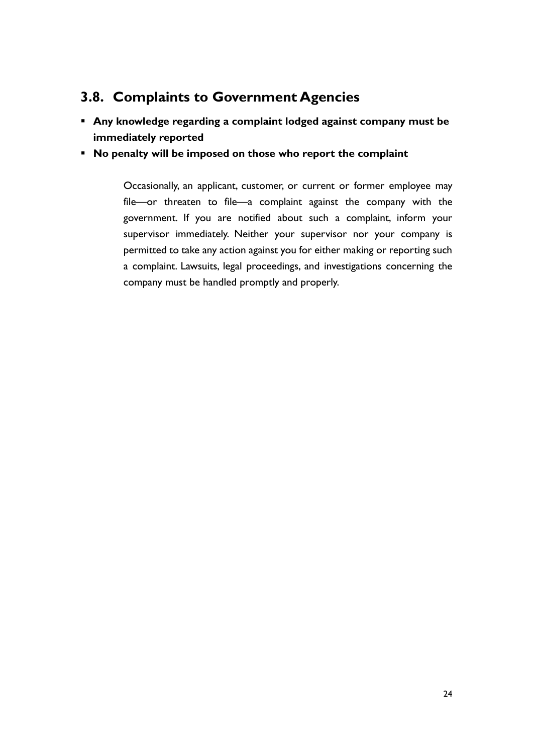## **3.8. Complaints to Government Agencies**

- **Any knowledge regarding a complaint lodged against company must be immediately reported**
- **No penalty will be imposed on those who report the complaint**

Occasionally, an applicant, customer, or current or former employee may file—or threaten to file—a complaint against the company with the government. If you are notified about such a complaint, inform your supervisor immediately. Neither your supervisor nor your company is permitted to take any action against you for either making or reporting such a complaint. Lawsuits, legal proceedings, and investigations concerning the company must be handled promptly and properly.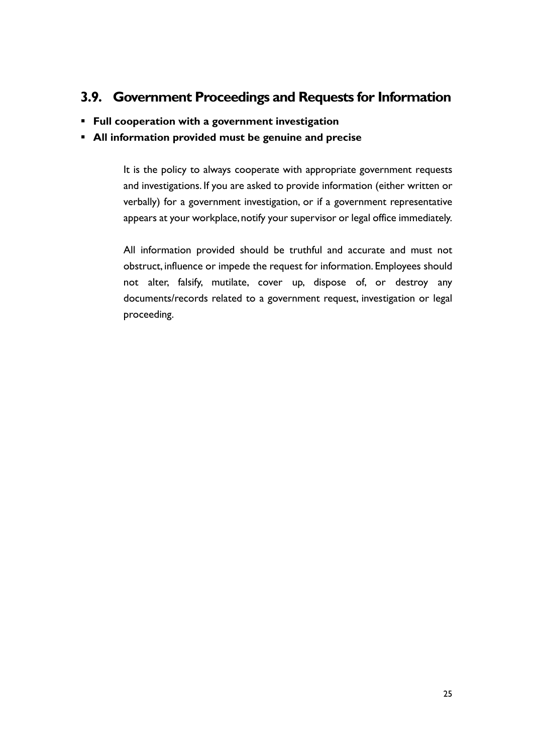## **3.9. Government Proceedings and Requests for Information**

▪ **Full cooperation with a government investigation**

### ▪ **All information provided must be genuine and precise**

It is the policy to always cooperate with appropriate government requests and investigations. If you are asked to provide information (either written or verbally) for a government investigation, or if a government representative appears at your workplace, notify your supervisor or legal office immediately.

All information provided should be truthful and accurate and must not obstruct, influence or impede the request for information. Employees should not alter, falsify, mutilate, cover up, dispose of, or destroy any documents/records related to a government request, investigation or legal proceeding.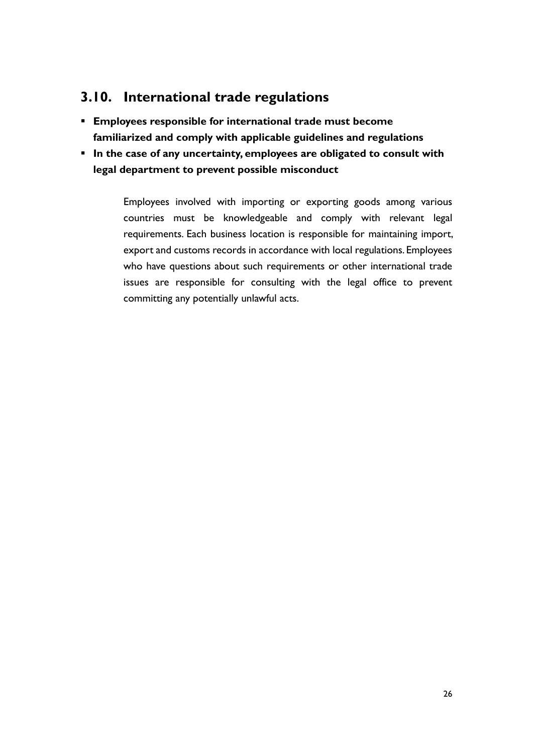## **3.10. International trade regulations**

- **Employees responsible for international trade must become familiarized and comply with applicable guidelines and regulations**
- **IF In the case of any uncertainty, employees are obligated to consult with legal department to prevent possible misconduct**

Employees involved with importing or exporting goods among various countries must be knowledgeable and comply with relevant legal requirements. Each business location is responsible for maintaining import, export and customs records in accordance with local regulations. Employees who have questions about such requirements or other international trade issues are responsible for consulting with the legal office to prevent committing any potentially unlawful acts.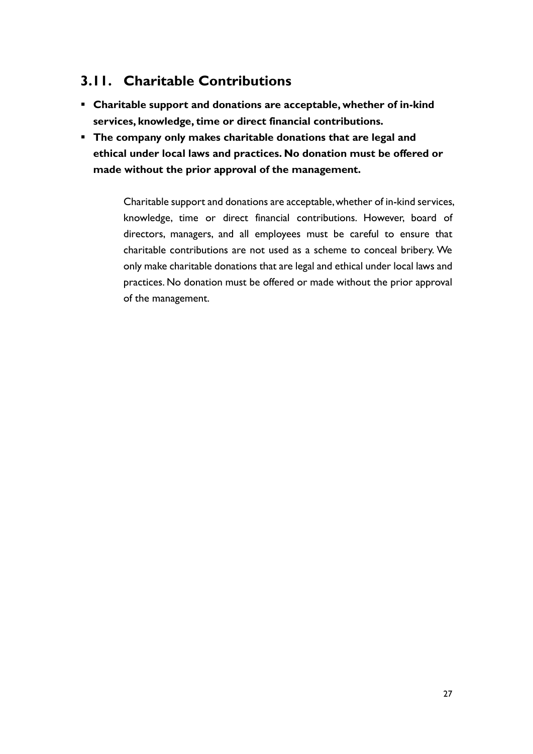## **3.11. Charitable Contributions**

- **Charitable support and donations are acceptable, whether of in-kind services, knowledge, time or direct financial contributions.**
- **The company only makes charitable donations that are legal and ethical under local laws and practices. No donation must be offered or made without the prior approval of the management.**

Charitable support and donations are acceptable, whether of in-kind services, knowledge, time or direct financial contributions. However, board of directors, managers, and all employees must be careful to ensure that charitable contributions are not used as a scheme to conceal bribery. We only make charitable donations that are legal and ethical under local laws and practices. No donation must be offered or made without the prior approval of the management.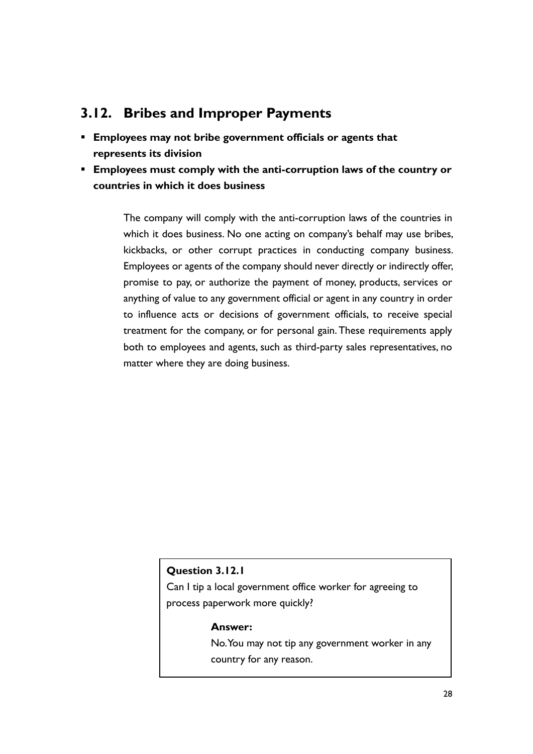## **3.12. Bribes and Improper Payments**

- **Employees may not bribe government officials or agents that represents its division**
- **Employees must comply with the anti-corruption laws of the country or countries in which it does business**

The company will comply with the anti-corruption laws of the countries in which it does business. No one acting on company's behalf may use bribes, kickbacks, or other corrupt practices in conducting company business. Employees or agents of the company should never directly or indirectly offer, promise to pay, or authorize the payment of money, products, services or anything of value to any government official or agent in any country in order to influence acts or decisions of government officials, to receive special treatment for the company, or for personal gain. These requirements apply both to employees and agents, such as third-party sales representatives, no matter where they are doing business.

### **Question 3.12.1**

Can I tip a local government office worker for agreeing to process paperwork more quickly?

### **Answer:**

No. You may not tip any government worker in any country for any reason.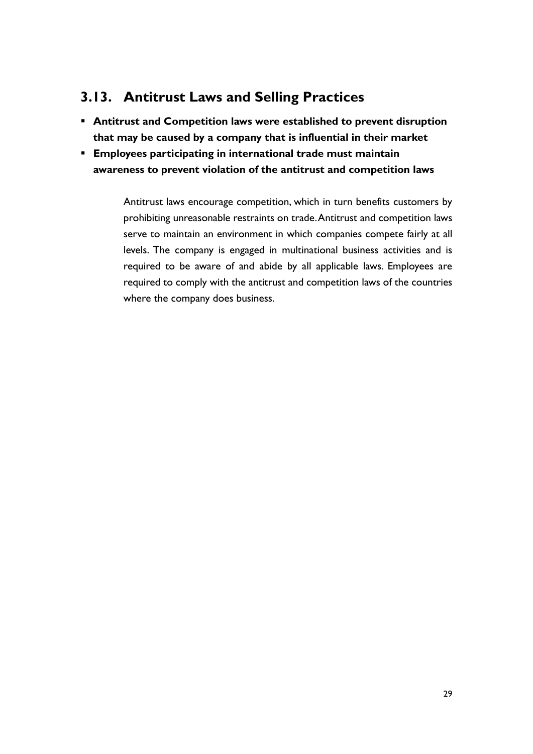## **3.13. Antitrust Laws and Selling Practices**

- **Antitrust and Competition laws were established to prevent disruption that may be caused by a company that is influential in their market**
- **Employees participating in international trade must maintain awareness to prevent violation of the antitrust and competition laws**

Antitrust laws encourage competition, which in turn benefits customers by prohibiting unreasonable restraints on trade. Antitrust and competition laws serve to maintain an environment in which companies compete fairly at all levels. The company is engaged in multinational business activities and is required to be aware of and abide by all applicable laws. Employees are required to comply with the antitrust and competition laws of the countries where the company does business.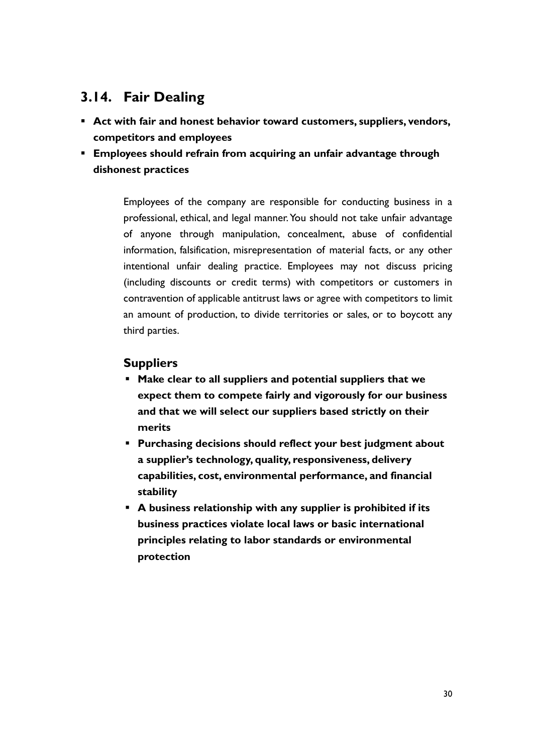## **3.14. Fair Dealing**

- **Act with fair and honest behavior toward customers, suppliers, vendors, competitors and employees**
- **Employees should refrain from acquiring an unfair advantage through dishonest practices**

Employees of the company are responsible for conducting business in a professional, ethical, and legal manner. You should not take unfair advantage of anyone through manipulation, concealment, abuse of confidential information, falsification, misrepresentation of material facts, or any other intentional unfair dealing practice. Employees may not discuss pricing (including discounts or credit terms) with competitors or customers in contravention of applicable antitrust laws or agree with competitors to limit an amount of production, to divide territories or sales, or to boycott any third parties.

### **Suppliers**

- **Make clear to all suppliers and potential suppliers that we expect them to compete fairly and vigorously for our business and that we will select our suppliers based strictly on their merits**
- **Purchasing decisions should reflect your best judgment about a supplier's technology, quality, responsiveness, delivery capabilities, cost, environmental performance, and financial stability**
- **A business relationship with any supplier is prohibited if its business practices violate local laws or basic international principles relating to labor standards or environmental protection**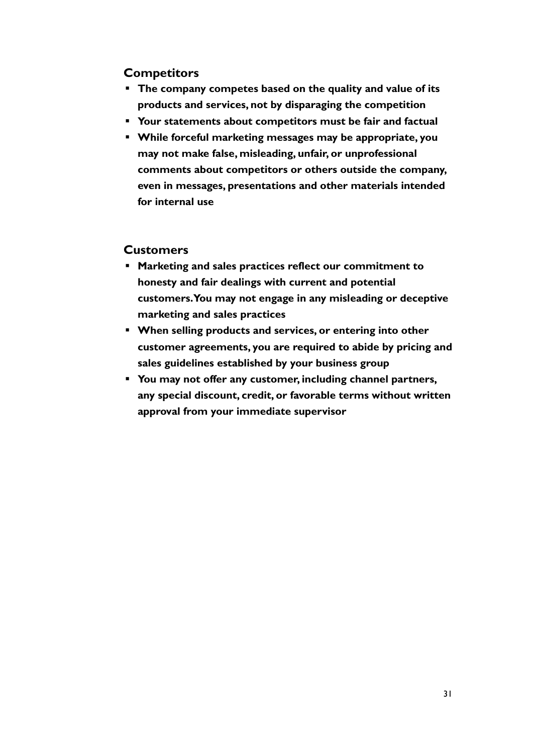### **Competitors**

- **The company competes based on the quality and value of its products and services, not by disparaging the competition**
- **Your statements about competitors must be fair and factual**
- **While forceful marketing messages may be appropriate, you may not make false, misleading, unfair, or unprofessional comments about competitors or others outside the company, even in messages, presentations and other materials intended for internal use**

### **Customers**

- **Marketing and sales practices reflect our commitment to honesty and fair dealings with current and potential customers. You may not engage in any misleading or deceptive marketing and sales practices**
- **When selling products and services, or entering into other customer agreements, you are required to abide by pricing and sales guidelines established by your business group**
- **You may not offer any customer, including channel partners, any special discount, credit, or favorable terms without written approval from your immediate supervisor**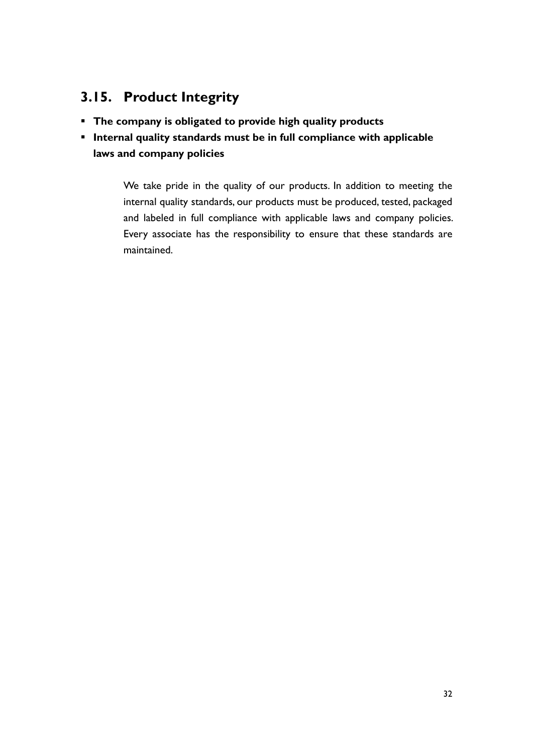## **3.15. Product Integrity**

- **The company is obligated to provide high quality products**
- **Internal quality standards must be in full compliance with applicable laws and company policies**

We take pride in the quality of our products. In addition to meeting the internal quality standards, our products must be produced, tested, packaged and labeled in full compliance with applicable laws and company policies. Every associate has the responsibility to ensure that these standards are maintained.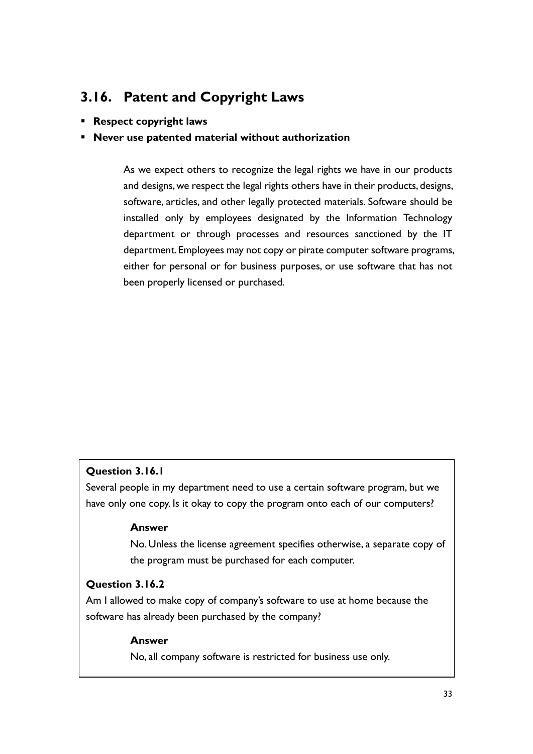## **3.16. Patent and Copyright Laws**

▪ **Respect copyright laws**

### ▪ **Never use patented material without authorization**

As we expect others to recognize the legal rights we have in our products and designs, we respect the legal rights others have in their products, designs, software, articles, and other legally protected materials. Software should be installed only by employees designated by the Information Technology department or through processes and resources sanctioned by the IT department. Employees may not copy or pirate computer software programs, either for personal or for business purposes, or use software that has not been properly licensed or purchased.

### **Question 3.16.1**

Several people in my department need to use a certain software program, but we have only one copy. Is it okay to copy the program onto each of our computers?

#### **Answer**

No. Unless the license agreement specifies otherwise, a separate copy of the program must be purchased for each computer.

### **Question 3.16.2**

Am I allowed to make copy of company's software to use at home because the software has already been purchased by the company?

#### **Answer**

No, all company software is restricted for business use only.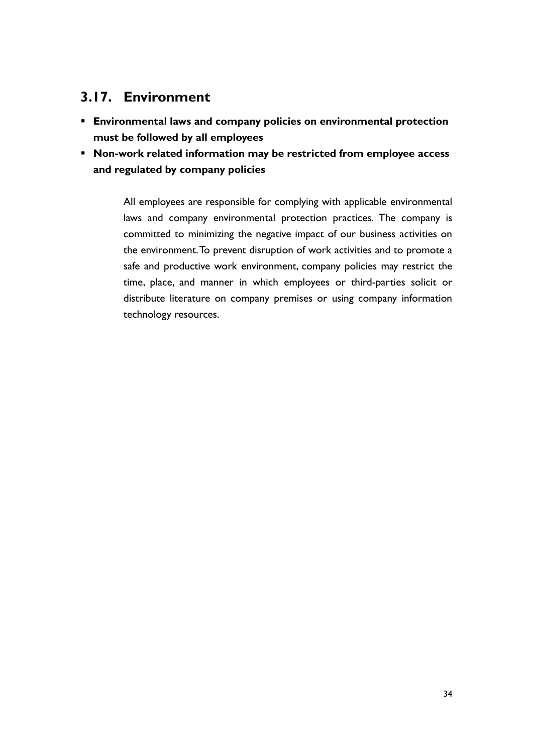## **3.17. Environment**

- **Environmental laws and company policies on environmental protection must be followed by all employees**
- **Non-work related information may be restricted from employee access and regulated by company policies**

All employees are responsible for complying with applicable environmental laws and company environmental protection practices. The company is committed to minimizing the negative impact of our business activities on the environment. To prevent disruption of work activities and to promote a safe and productive work environment, company policies may restrict the time, place, and manner in which employees or third-parties solicit or distribute literature on company premises or using company information technology resources.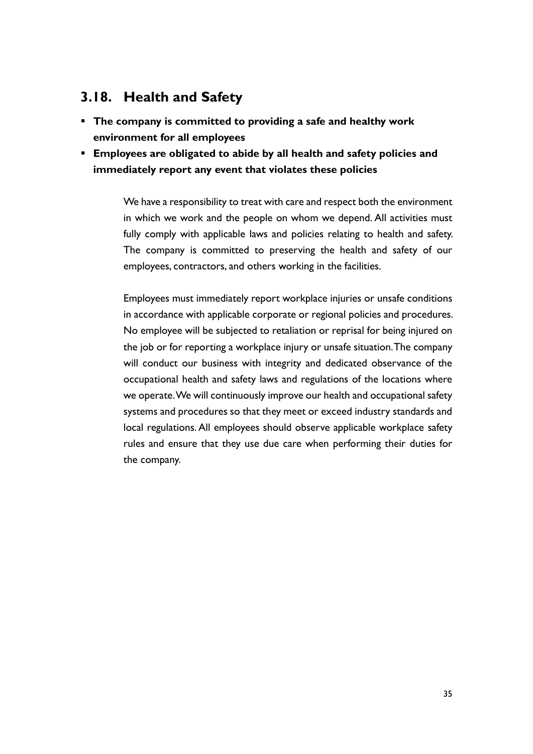## **3.18. Health and Safety**

- **The company is committed to providing a safe and healthy work environment for all employees**
- **Employees are obligated to abide by all health and safety policies and immediately report any event that violates these policies**

We have a responsibility to treat with care and respect both the environment in which we work and the people on whom we depend. All activities must fully comply with applicable laws and policies relating to health and safety. The company is committed to preserving the health and safety of our employees, contractors, and others working in the facilities.

Employees must immediately report workplace injuries or unsafe conditions in accordance with applicable corporate or regional policies and procedures. No employee will be subjected to retaliation or reprisal for being injured on the job or for reporting a workplace injury or unsafe situation. The company will conduct our business with integrity and dedicated observance of the occupational health and safety laws and regulations of the locations where we operate. We will continuously improve our health and occupational safety systems and procedures so that they meet or exceed industry standards and local regulations. All employees should observe applicable workplace safety rules and ensure that they use due care when performing their duties for the company.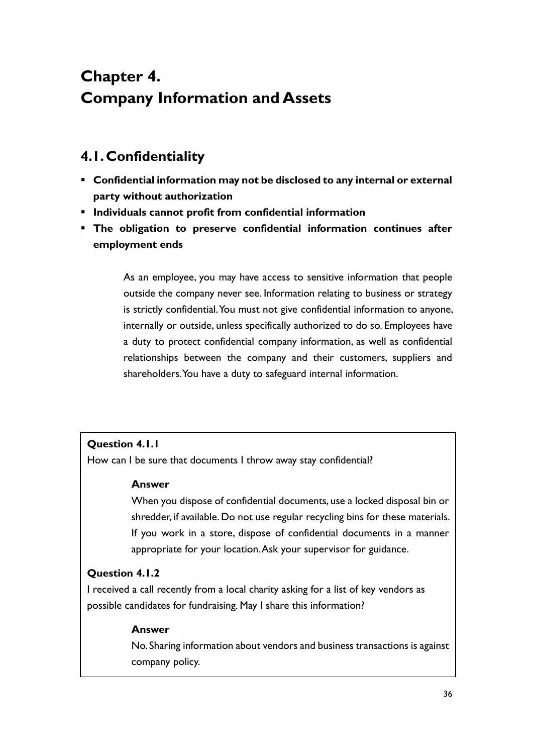# **Chapter 4. Company Information and Assets**

## **4.1.Confidentiality**

- **Confidential information may not be disclosed to any internal or external party without authorization**
- **Individuals cannot profit from confidential information**
- **The obligation to preserve confidential information continues after employment ends**

As an employee, you may have access to sensitive information that people outside the company never see. Information relating to business or strategy is strictly confidential. You must not give confidential information to anyone, internally or outside, unless specifically authorized to do so. Employees have a duty to protect confidential company information, as well as confidential relationships between the company and their customers, suppliers and shareholders. You have a duty to safeguard internal information.

### **Question 4.1.1**

How can I be sure that documents I throw away stay confidential?

### **Answer**

When you dispose of confidential documents, use a locked disposal bin or shredder, if available. Do not use regular recycling bins for these materials. If you work in a store, dispose of confidential documents in a manner appropriate for your location. Ask your supervisor for guidance.

### **Question 4.1.2**

I received a call recently from a local charity asking for a list of key vendors as possible candidates for fundraising. May I share this information?

### **Answer**

No. Sharing information about vendors and business transactions is against company policy.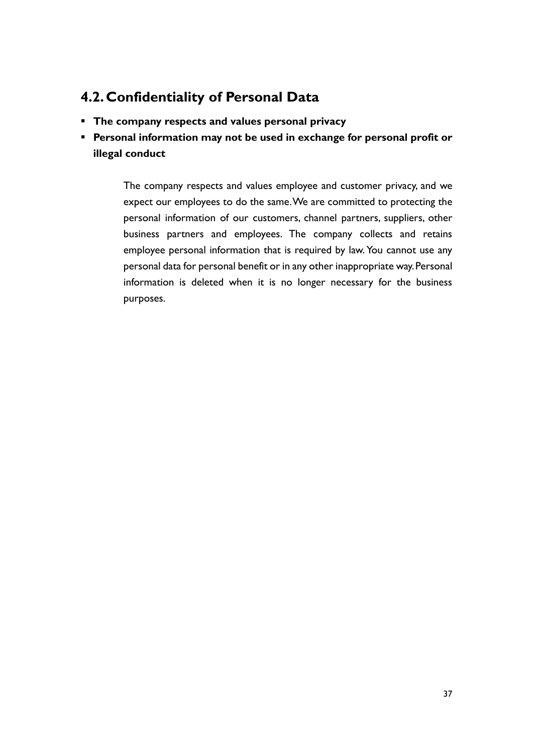## **4.2.Confidentiality of Personal Data**

- **The company respects and values personal privacy**
- **Personal information may not be used in exchange for personal profit or illegal conduct**

The company respects and values employee and customer privacy, and we expect our employees to do the same. We are committed to protecting the personal information of our customers, channel partners, suppliers, other business partners and employees. The company collects and retains employee personal information that is required by law. You cannot use any personal data for personal benefit or in any other inappropriate way. Personal information is deleted when it is no longer necessary for the business purposes.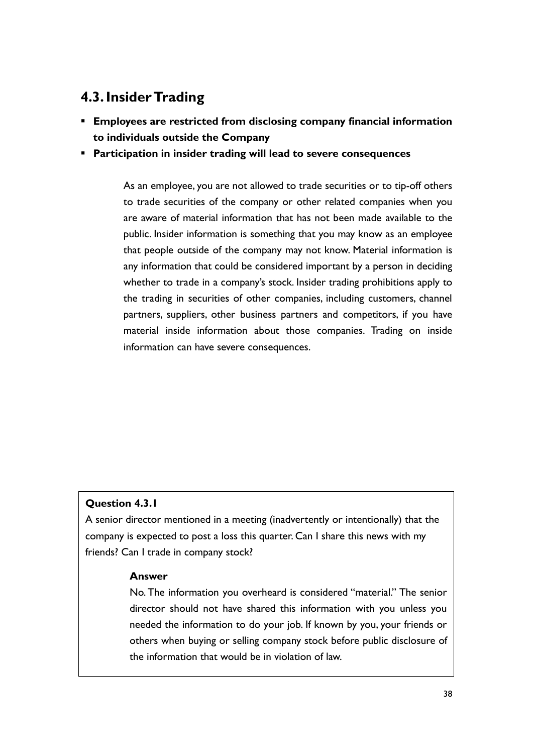## **4.3.Insider Trading**

- **Employees are restricted from disclosing company financial information to individuals outside the Company**
- **Participation in insider trading will lead to severe consequences**

As an employee, you are not allowed to trade securities or to tip-off others to trade securities of the company or other related companies when you are aware of material information that has not been made available to the public. Insider information is something that you may know as an employee that people outside of the company may not know. Material information is any information that could be considered important by a person in deciding whether to trade in a company's stock. Insider trading prohibitions apply to the trading in securities of other companies, including customers, channel partners, suppliers, other business partners and competitors, if you have material inside information about those companies. Trading on inside information can have severe consequences.

### **Question 4.3.1**

A senior director mentioned in a meeting (inadvertently or intentionally) that the company is expected to post a loss this quarter. Can I share this news with my friends? Can I trade in company stock?

### **Answer**

No. The information you overheard is considered "material." The senior director should not have shared this information with you unless you needed the information to do your job. If known by you, your friends or others when buying or selling company stock before public disclosure of the information that would be in violation of law.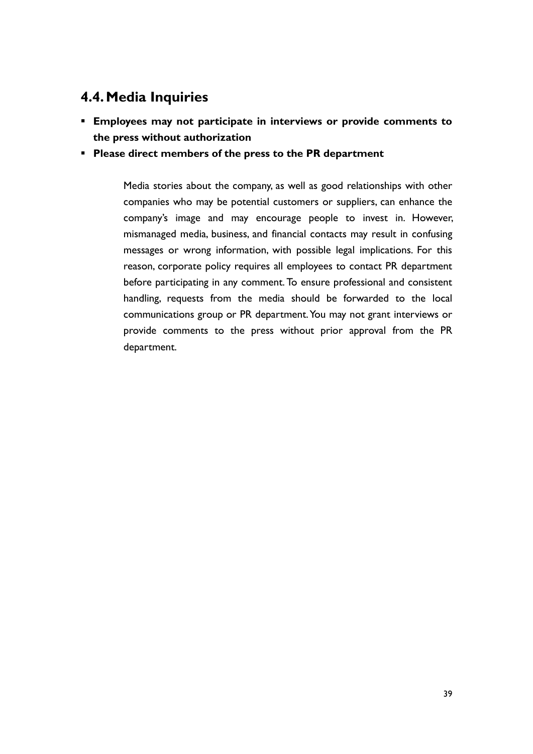## **4.4.Media Inquiries**

- **Employees may not participate in interviews or provide comments to the press without authorization**
- **Please direct members of the press to the PR department**

Media stories about the company, as well as good relationships with other companies who may be potential customers or suppliers, can enhance the company's image and may encourage people to invest in. However, mismanaged media, business, and financial contacts may result in confusing messages or wrong information, with possible legal implications. For this reason, corporate policy requires all employees to contact PR department before participating in any comment. To ensure professional and consistent handling, requests from the media should be forwarded to the local communications group or PR department. You may not grant interviews or provide comments to the press without prior approval from the PR department.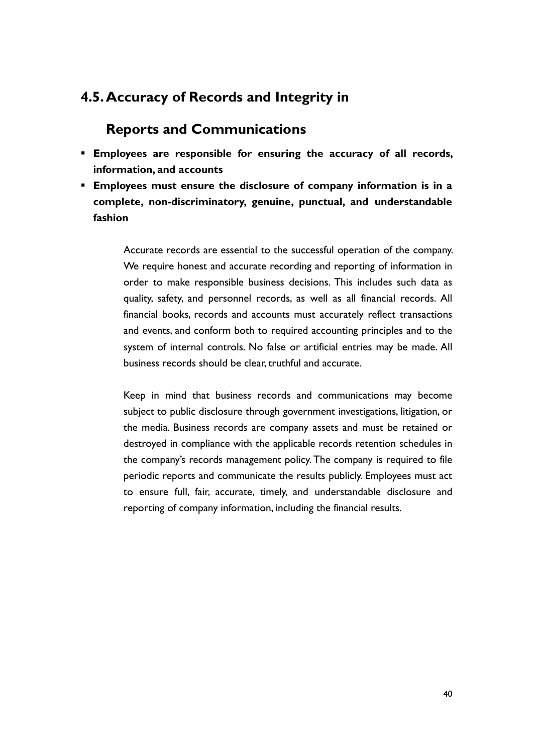### **4.5.Accuracy of Records and Integrity in**

### **Reports and Communications**

- **Employees are responsible for ensuring the accuracy of all records, information, and accounts**
- **Employees must ensure the disclosure of company information is in a complete, non-discriminatory, genuine, punctual, and understandable fashion**

Accurate records are essential to the successful operation of the company. We require honest and accurate recording and reporting of information in order to make responsible business decisions. This includes such data as quality, safety, and personnel records, as well as all financial records. All financial books, records and accounts must accurately reflect transactions and events, and conform both to required accounting principles and to the system of internal controls. No false or artificial entries may be made. All business records should be clear, truthful and accurate.

Keep in mind that business records and communications may become subject to public disclosure through government investigations, litigation, or the media. Business records are company assets and must be retained or destroyed in compliance with the applicable records retention schedules in the company's records management policy. The company is required to file periodic reports and communicate the results publicly. Employees must act to ensure full, fair, accurate, timely, and understandable disclosure and reporting of company information, including the financial results.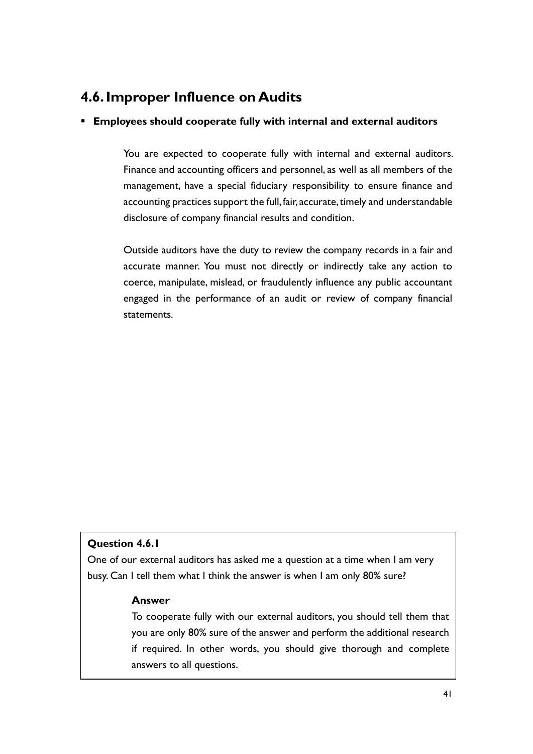### **4.6.Improper Influence on Audits**

### ▪ **Employees should cooperate fully with internal and external auditors**

You are expected to cooperate fully with internal and external auditors. Finance and accounting officers and personnel, as well as all members of the management, have a special fiduciary responsibility to ensure finance and accounting practices support the full, fair, accurate, timely and understandable disclosure of company financial results and condition.

Outside auditors have the duty to review the company records in a fair and accurate manner. You must not directly or indirectly take any action to coerce, manipulate, mislead, or fraudulently influence any public accountant engaged in the performance of an audit or review of company financial statements.

### **Question 4.6.1**

One of our external auditors has asked me a question at a time when I am very busy. Can I tell them what I think the answer is when I am only 80% sure?

### **Answer**

To cooperate fully with our external auditors, you should tell them that you are only 80% sure of the answer and perform the additional research if required. In other words, you should give thorough and complete answers to all questions.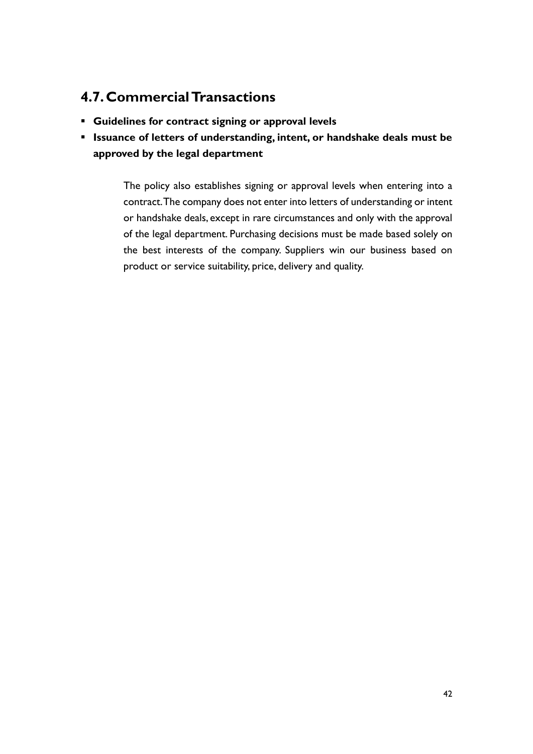## **4.7.Commercial Transactions**

- **Guidelines for contract signing or approval levels**
- **Issuance of letters of understanding, intent, or handshake deals must be approved by the legal department**

The policy also establishes signing or approval levels when entering into a contract. The company does not enter into letters of understanding or intent or handshake deals, except in rare circumstances and only with the approval of the legal department. Purchasing decisions must be made based solely on the best interests of the company. Suppliers win our business based on product or service suitability, price, delivery and quality.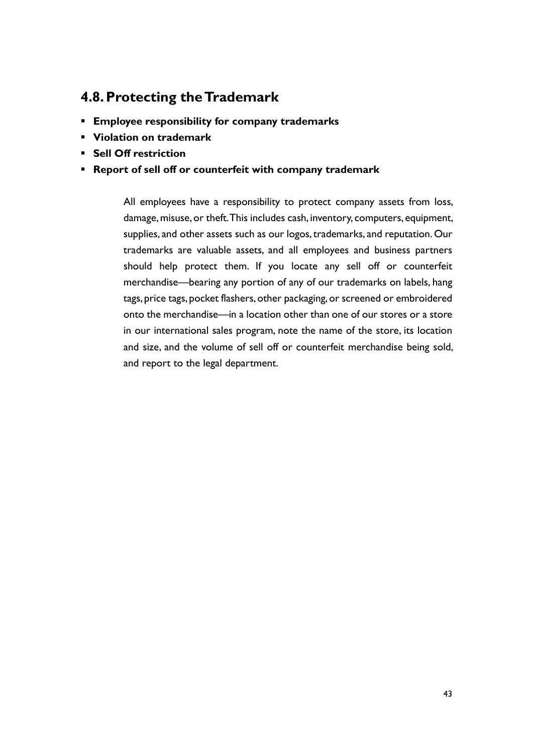## **4.8.Protecting the Trademark**

- **Employee responsibility for company trademarks**
- **Violation on trademark**
- **Sell Off restriction**
- **Report of sell off or counterfeit with company trademark**

All employees have a responsibility to protect company assets from loss, damage, misuse, or theft. This includes cash, inventory, computers, equipment, supplies, and other assets such as our logos, trademarks, and reputation. Our trademarks are valuable assets, and all employees and business partners should help protect them. If you locate any sell off or counterfeit merchandise—bearing any portion of any of our trademarks on labels, hang tags, price tags, pocket flashers, other packaging, or screened or embroidered onto the merchandise—in a location other than one of our stores or a store in our international sales program, note the name of the store, its location and size, and the volume of sell off or counterfeit merchandise being sold, and report to the legal department.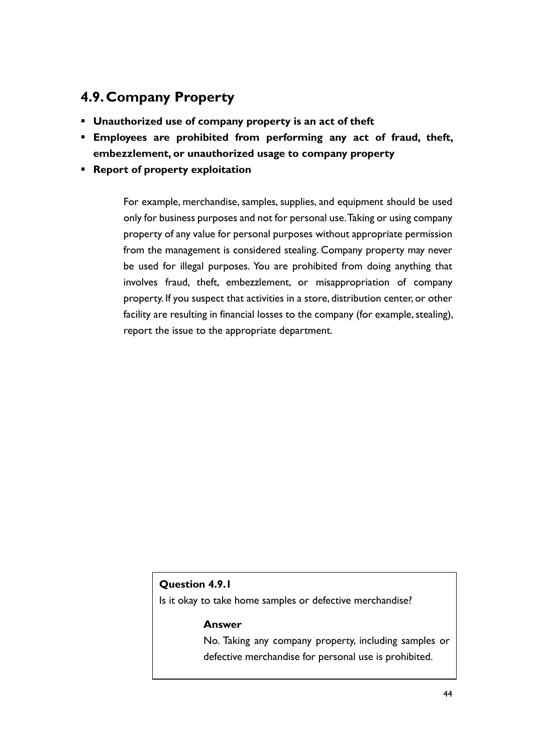## **4.9.Company Property**

- **Unauthorized use of company property is an act of theft**
- **Employees are prohibited from performing any act of fraud, theft, embezzlement, or unauthorized usage to company property**
- **Report of property exploitation**

For example, merchandise, samples, supplies, and equipment should be used only for business purposes and not for personal use.Taking or using company property of any value for personal purposes without appropriate permission from the management is considered stealing. Company property may never be used for illegal purposes. You are prohibited from doing anything that involves fraud, theft, embezzlement, or misappropriation of company property. If you suspect that activities in a store, distribution center, or other facility are resulting in financial losses to the company (for example, stealing), report the issue to the appropriate department.

### **Question 4.9.1**

Is it okay to take home samples or defective merchandise?

#### **Answer**

No. Taking any company property, including samples or defective merchandise for personal use is prohibited.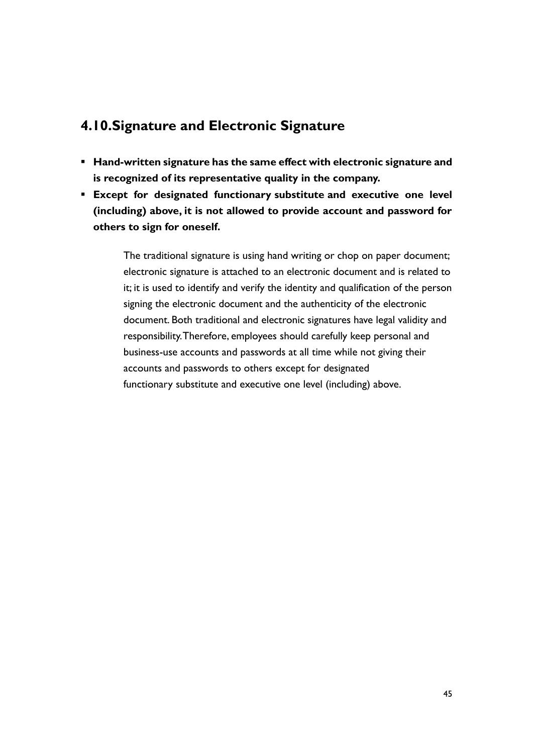## **4.10.Signature and Electronic Signature**

- **Hand-written signature has the same effect with electronic signature and is recognized of its representative quality in the company.**
- **Except for designated functionary substitute and executive one level (including) above, it is not allowed to provide account and password for others to sign for oneself.**

The traditional signature is using hand writing or chop on paper document; electronic signature is attached to an electronic document and is related to it; it is used to identify and verify the identity and qualification of the person signing the electronic document and the authenticity of the electronic document. Both traditional and electronic signatures have legal validity and responsibility. Therefore, employees should carefully keep personal and business-use accounts and passwords at all time while not giving their accounts and passwords to others except for designated functionary substitute and executive one level (including) above.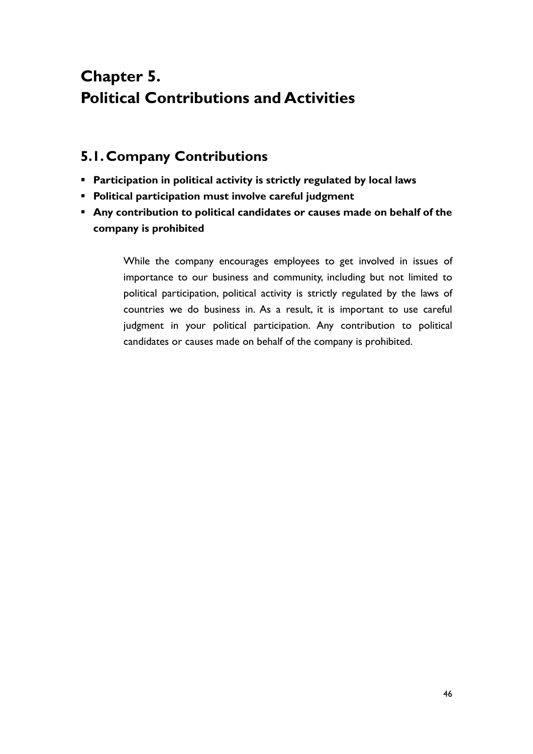# **Chapter 5. Political Contributions and Activities**

## **5.1.Company Contributions**

- **Participation in political activity is strictly regulated by local laws**
- **Political participation must involve careful judgment**
- **Any contribution to political candidates or causes made on behalf of the company is prohibited**

While the company encourages employees to get involved in issues of importance to our business and community, including but not limited to political participation, political activity is strictly regulated by the laws of countries we do business in. As a result, it is important to use careful judgment in your political participation. Any contribution to political candidates or causes made on behalf of the company is prohibited.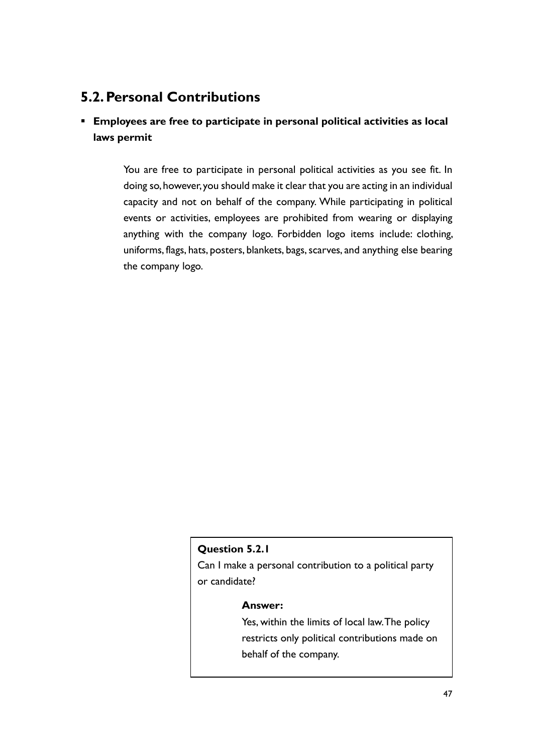## **5.2.Personal Contributions**

### ▪ **Employees are free to participate in personal political activities as local laws permit**

You are free to participate in personal political activities as you see fit. In doing so, however, you should make it clear that you are acting in an individual capacity and not on behalf of the company. While participating in political events or activities, employees are prohibited from wearing or displaying anything with the company logo. Forbidden logo items include: clothing, uniforms, flags, hats, posters, blankets, bags, scarves, and anything else bearing the company logo.

### **Question 5.2.1**

Can I make a personal contribution to a political party or candidate?

#### **Answer:**

Yes, within the limits of local law. The policy restricts only political contributions made on behalf of the company.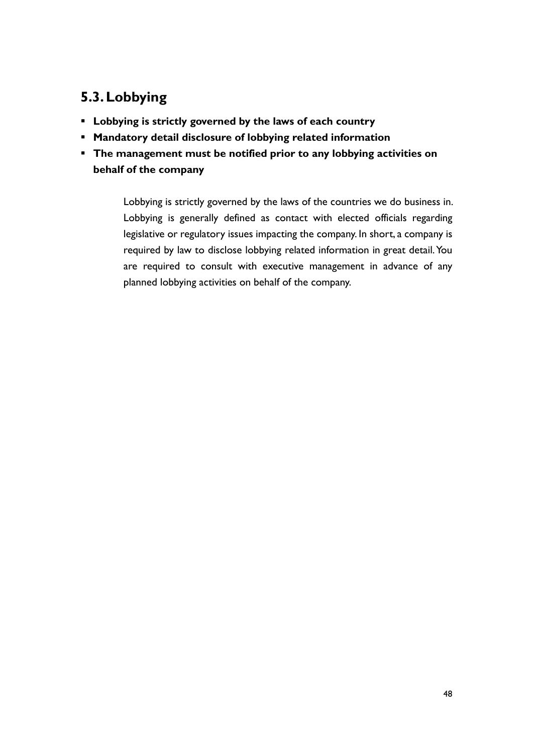## **5.3.Lobbying**

- **Lobbying is strictly governed by the laws of each country**
- **Mandatory detail disclosure of lobbying related information**
- **The management must be notified prior to any lobbying activities on behalf of the company**

Lobbying is strictly governed by the laws of the countries we do business in. Lobbying is generally defined as contact with elected officials regarding legislative or regulatory issues impacting the company. In short, a company is required by law to disclose lobbying related information in great detail. You are required to consult with executive management in advance of any planned lobbying activities on behalf of the company.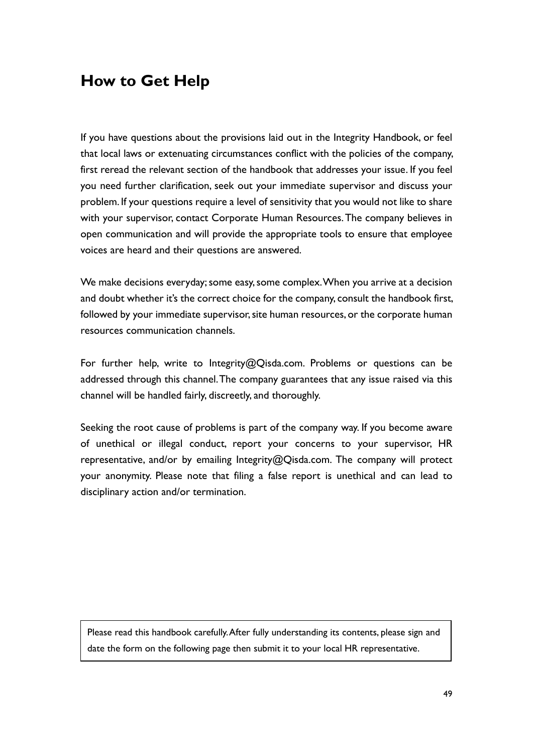## **How to Get Help**

If you have questions about the provisions laid out in the Integrity Handbook, or feel that local laws or extenuating circumstances conflict with the policies of the company, first reread the relevant section of the handbook that addresses your issue. If you feel you need further clarification, seek out your immediate supervisor and discuss your problem. If your questions require a level of sensitivity that you would not like to share with your supervisor, contact Corporate Human Resources. The company believes in open communication and will provide the appropriate tools to ensure that employee voices are heard and their questions are answered.

We make decisions everyday; some easy, some complex. When you arrive at a decision and doubt whether it's the correct choice for the company, consult the handbook first, followed by your immediate supervisor, site human resources, or the corporate human resources communication channels.

For further help, write to Integrity@Qisda.com. Problems or questions can be addressed through this channel. The company guarantees that any issue raised via this channel will be handled fairly, discreetly, and thoroughly.

Seeking the root cause of problems is part of the company way. If you become aware of unethical or illegal conduct, report your concerns to your supervisor, HR representative, and/or by emailing Integrity@Qisda.com. The company will protect your anonymity. Please note that filing a false report is unethical and can lead to disciplinary action and/or termination.

Please read this handbook carefully. After fully understanding its contents, please sign and date the form on the following page then submit it to your local HR representative.